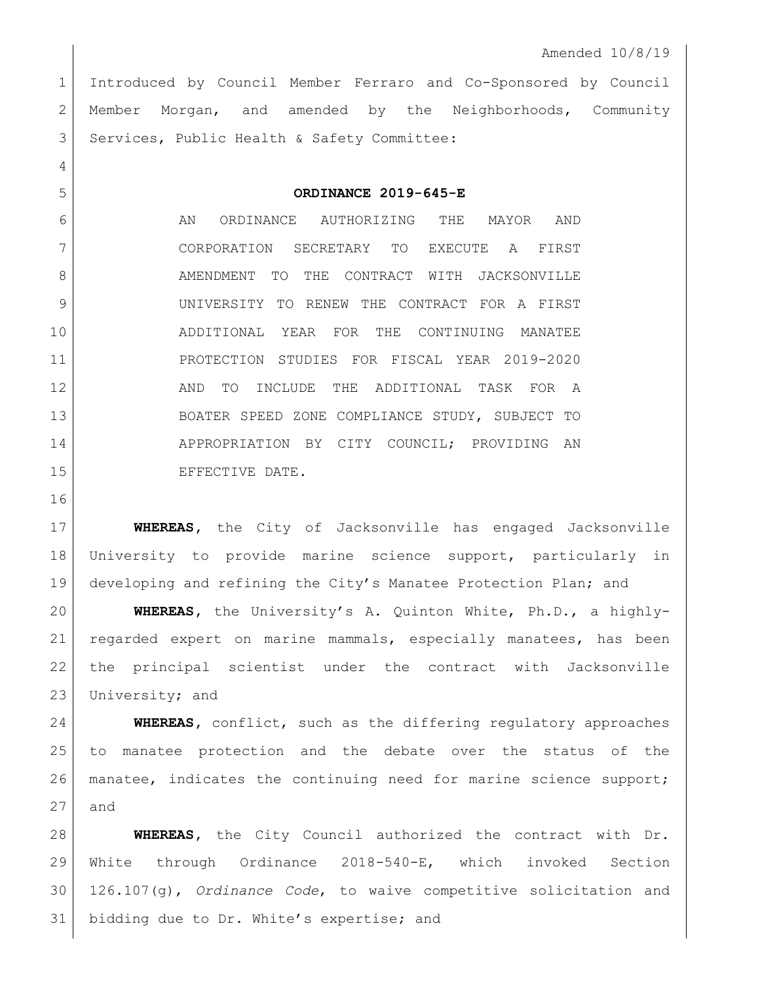Introduced by Council Member Ferraro and Co-Sponsored by Council 2 Member Morgan, and amended by the Neighborhoods, Community 3 Services, Public Health & Safety Committee:

**ORDINANCE 2019-645-E**

6 AN ORDINANCE AUTHORIZING THE MAYOR AND CORPORATION SECRETARY TO EXECUTE A FIRST 8 AMENDMENT TO THE CONTRACT WITH JACKSONVILLE UNIVERSITY TO RENEW THE CONTRACT FOR A FIRST ADDITIONAL YEAR FOR THE CONTINUING MANATEE PROTECTION STUDIES FOR FISCAL YEAR 2019-2020 12 AND TO INCLUDE THE ADDITIONAL TASK FOR A BOATER SPEED ZONE COMPLIANCE STUDY, SUBJECT TO 14 APPROPRIATION BY CITY COUNCIL; PROVIDING AN 15 EFFECTIVE DATE.

 **WHEREAS,** the City of Jacksonville has engaged Jacksonville University to provide marine science support, particularly in developing and refining the City's Manatee Protection Plan; and

 **WHEREAS,** the University's A. Quinton White, Ph.D., a highly- regarded expert on marine mammals, especially manatees, has been the principal scientist under the contract with Jacksonville 23 University; and

 **WHEREAS,** conflict, such as the differing regulatory approaches to manatee protection and the debate over the status of the manatee, indicates the continuing need for marine science support; and

 **WHEREAS,** the City Council authorized the contract with Dr. White through Ordinance 2018-540-E, which invoked Section 126.107(g), *Ordinance Code*, to waive competitive solicitation and 31 bidding due to Dr. White's expertise; and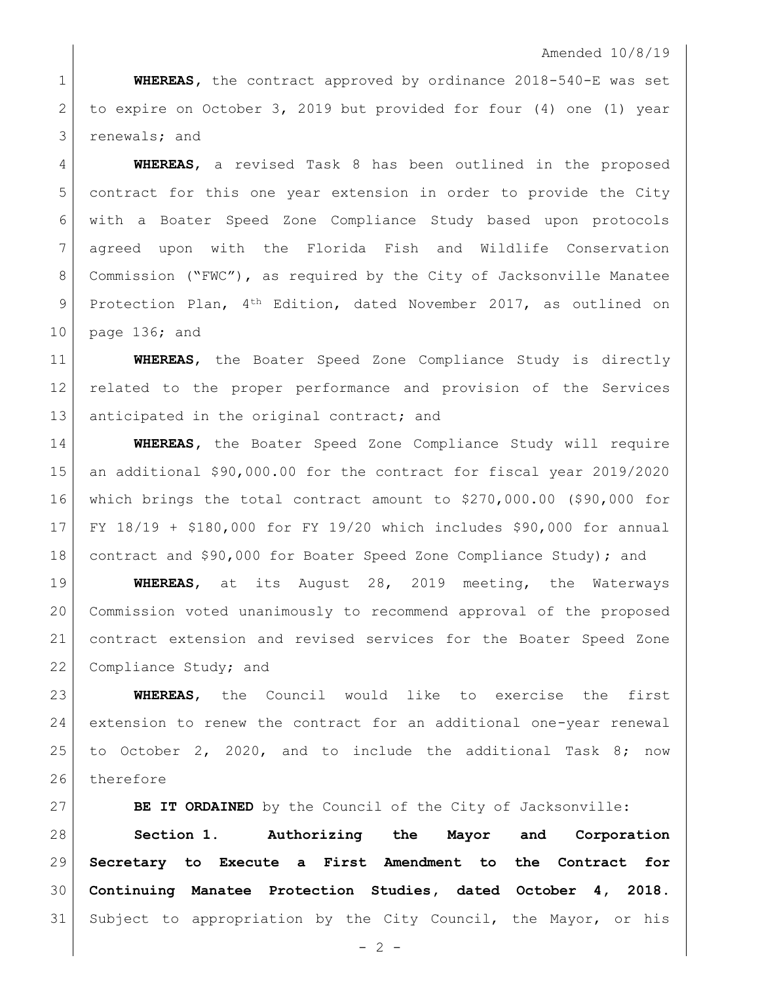## Amended 10/8/19

 **WHEREAS,** the contract approved by ordinance 2018-540-E was set to expire on October 3, 2019 but provided for four (4) one (1) year renewals; and

 **WHEREAS**, a revised Task 8 has been outlined in the proposed contract for this one year extension in order to provide the City with a Boater Speed Zone Compliance Study based upon protocols agreed upon with the Florida Fish and Wildlife Conservation Commission ("FWC"), as required by the City of Jacksonville Manatee 9 Protection Plan, 4<sup>th</sup> Edition, dated November 2017, as outlined on page 136; and

 **WHEREAS**, the Boater Speed Zone Compliance Study is directly related to the proper performance and provision of the Services 13 anticipated in the original contract; and

 **WHEREAS,** the Boater Speed Zone Compliance Study will require an additional \$90,000.00 for the contract for fiscal year 2019/2020 which brings the total contract amount to \$270,000.00 (\$90,000 for FY 18/19 + \$180,000 for FY 19/20 which includes \$90,000 for annual 18 contract and \$90,000 for Boater Speed Zone Compliance Study); and

 **WHEREAS**, at its August 28, 2019 meeting, the Waterways Commission voted unanimously to recommend approval of the proposed contract extension and revised services for the Boater Speed Zone 22 Compliance Study; and

 **WHEREAS**, the Council would like to exercise the first extension to renew the contract for an additional one-year renewal to October 2, 2020, and to include the additional Task 8; now 26 therefore

**BE IT ORDAINED** by the Council of the City of Jacksonville:

 **Section 1. Authorizing the Mayor and Corporation Secretary to Execute a First Amendment to the Contract for Continuing Manatee Protection Studies, dated October 4, 2018.** Subject to appropriation by the City Council, the Mayor, or his